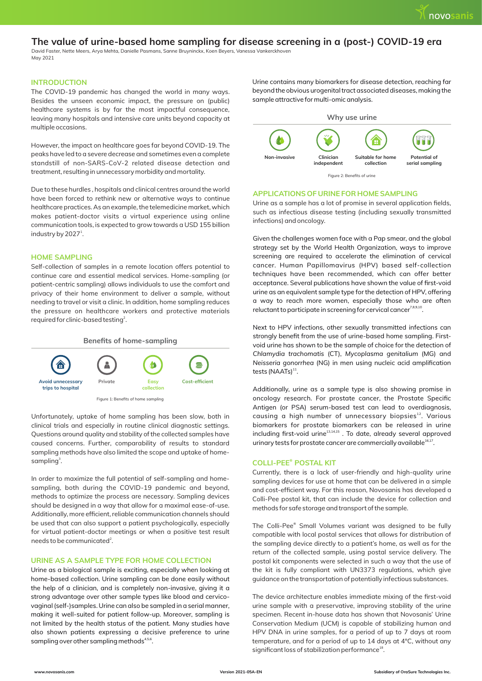# **The value of urine-based home sampling for disease screening in a (post-) COVID-19 era**

David Faster, Nette Meers, Arya Mehta, Danielle Pasmans, Sanne Bruyninckx, Koen Beyers, Vanessa Vankerckhoven May 2021

## **INTRODUCTION**

The COVID-19 pandemic has changed the world in many ways. Besides the unseen economic impact, the pressure on (public) healthcare systems is by far the most impactful consequence, leaving many hospitals and intensive care units beyond capacity at multiple occasions.

However, the impact on healthcare goes far beyond COVID-19. The peaks have led to a severe decrease and sometimes even a complete standstill of non-SARS-CoV-2 related disease detection and treatment, resulting in unnecessary morbidity and mortality.

Due to these hurdles , hospitals and clinical centres around the world have been forced to rethink new or alternative ways to continue healthcare practices. As an example, the telemedicine market, which makes patient-doctor visits a virtual experience using online communication tools, is expected to grow towards a USD 155 billion industry by 2027<sup>1</sup>.

## **HOME SAMPLING**

Self-collection of samples in a remote location offers potential to continue care and essential medical services. Home-sampling (or patient-centric sampling) allows individuals to use the comfort and privacy of their home environment to deliver a sample, without needing to travel or visit a clinic. In addition, home sampling reduces the pressure on healthcare workers and protective materials required for clinic-based testing<sup>2</sup>.



Unfortunately, uptake of home sampling has been slow, both in clinical trials and especially in routine clinical diagnostic settings. Questions around quality and stability of the collected samples have caused concerns. Further, comparability of results to standard sampling methods have also limited the scope and uptake of homesampling<sup>3</sup>.

In order to maximize the full potential of self-sampling and homesampling, both during the COVID-19 pandemic and beyond, methods to optimize the process are necessary. Sampling devices should be designed in a way that allow for a maximal ease-of-use. Additionally, more efficient, reliable communication channels should be used that can also support a patient psychologically, especially for virtual patient-doctor meetings or when a positive test result needs to be communicated<sup>2</sup>.

## **URINE AS A SAMPLE TYPE FOR HOME COLLECTION**

Urine as a biological sample is exciting, especially when looking at home-based collection. Urine sampling can be done easily without the help of a clinician, and is completely non-invasive, giving it a strong advantage over other sample types like blood and cervicovaginal (self-)samples. Urine can also be sampled in a serial manner, making it well-suited for patient follow-up. Moreover, sampling is not limited by the health status of the patient. Many studies have also shown patients expressing a decisive preference to urine sampling over other sampling methods $4,5,6$ .

Urine contains many biomarkers for disease detection, reaching far beyond the obvious urogenital tract associated diseases, making the sample attractive for multi-omic analysis.



## **APPLICATIONS OF URINE FOR HOME SAMPLING**

Urine as a sample has a lot of promise in several application fields, such as infectious disease testing (including sexually transmitted infections) and oncology.

Given the challenges women face with a Pap smear, and the global strategy set by the World Health Organization, ways to improve screening are required to accelerate the elimination of cervical cancer. Human Papillomavirus (HPV) based self-collection techniques have been recommended, which can offer better acceptance. Several publications have shown the value of first-void urine as an equivalent sample type for the detection of HPV, offering a way to reach more women, especially those who are often reluctant to participate in screening for cervical cancer<sup>7,8,9,10</sup>

Next to HPV infections, other sexually transmitted infections can strongly benefit from the use of urine-based home sampling. Firstvoid urine has shown to be the sample of choice for the detection of *Chlamydia trachomatis* (CT), *Mycoplasma genitalium* (MG) and *Neisseria gonorrhea* (NG) in men using nucleic acid amplification tests  $(NAATs)^{11}$ .

Additionally, urine as a sample type is also showing promise in oncology research. For prostate cancer, the Prostate Specific Antigen (or PSA) serum-based test can lead to overdiagnosis, causing a high number of unnecessary biopsies<sup>12</sup>. Various biomarkers for prostate biomarkers can be released in urine  $including$  first-void urine $13,14,15$ . To date, already several approved urinary tests for prostate cancer are commercially available $^{16,17}$ .

## **COLLI-PEE® POSTAL KIT**

Currently, there is a lack of user-friendly and high-quality urine sampling devices for use at home that can be delivered in a simple and cost-efficient way. For this reason, Novosanis has developed a Colli-Pee postal kit, that can include the device for collection and methods for safe storage and transport of the sample.

The Colli-Pee<sup>®</sup> Small Volumes variant was designed to be fully compatible with local postal services that allows for distribution of the sampling device directly to a patient's home, as well as for the return of the collected sample, using postal service delivery. The postal kit components were selected in such a way that the use of the kit is fully compliant with UN3373 regulations, which give guidance on the transportation of potentially infectious substances.

The device architecture enables immediate mixing of the first-void urine sample with a preservative, improving stability of the urine specimen. Recent in-house data has shown that Novosanis' Urine Conservation Medium (UCM) is capable of stabilizing human and HPV DNA in urine samples, for a period of up to 7 days at room temperature, and for a period of up to 14 days at 4°C, without any significant loss of stabilization performance<sup>18</sup>.